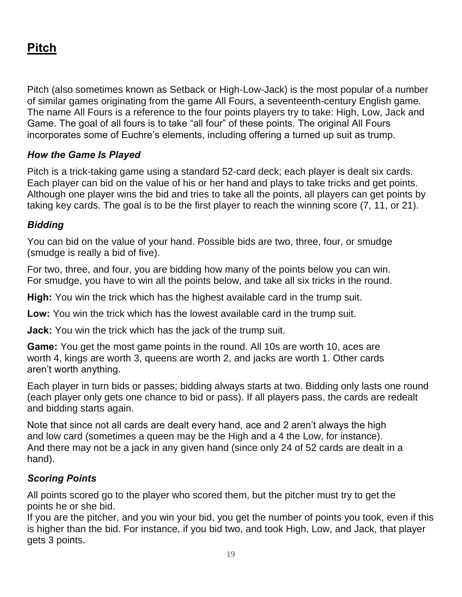# **Pitch**

Pitch (also sometimes known as Setback or High-Low-Jack) is the most popular of a number of similar games originating from the game All Fours, a seventeenth-century English game. The name All Fours is a reference to the four points players try to take: High, Low, Jack and Game. The goal of all fours is to take "all four" of these points. The original All Fours incorporates some of Euchre's elements, including offering a turned up suit as trump.

# *How the Game Is Played*

Pitch is a trick-taking game using a standard 52-card deck; each player is dealt six cards. Each player can bid on the value of his or her hand and plays to take tricks and get points. Although one player wins the bid and tries to take all the points, all players can get points by taking key cards. The goal is to be the first player to reach the winning score (7, 11, or 21).

## *Bidding*

You can bid on the value of your hand. Possible bids are two, three, four, or smudge (smudge is really a bid of five).

For two, three, and four, you are bidding how many of the points below you can win. For smudge, you have to win all the points below, and take all six tricks in the round.

**High:** You win the trick which has the highest available card in the trump suit.

**Low:** You win the trick which has the lowest available card in the trump suit.

**Jack:** You win the trick which has the jack of the trump suit.

**Game:** You get the most game points in the round. All 10s are worth 10, aces are worth 4, kings are worth 3, queens are worth 2, and jacks are worth 1. Other cards aren't worth anything.

Each player in turn bids or passes; bidding always starts at two. Bidding only lasts one round (each player only gets one chance to bid or pass). If all players pass, the cards are redealt and bidding starts again.

Note that since not all cards are dealt every hand, ace and 2 aren't always the high and low card (sometimes a queen may be the High and a 4 the Low, for instance). And there may not be a jack in any given hand (since only 24 of 52 cards are dealt in a hand).

# *Scoring Points*

All points scored go to the player who scored them, but the pitcher must try to get the points he or she bid.

If you are the pitcher, and you win your bid, you get the number of points you took, even if this is higher than the bid. For instance, if you bid two, and took High, Low, and Jack, that player gets 3 points.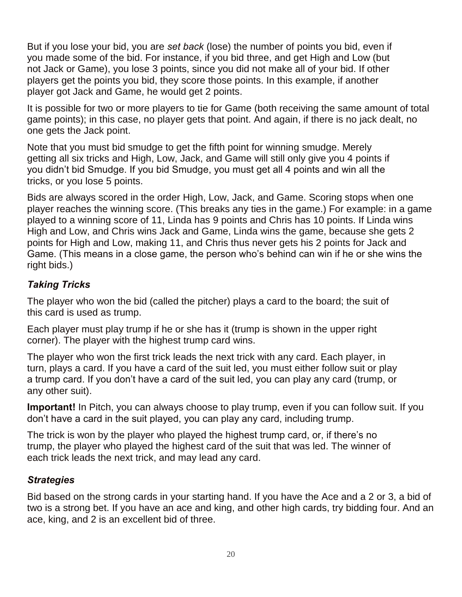But if you lose your bid, you are *set back* (lose) the number of points you bid, even if you made some of the bid. For instance, if you bid three, and get High and Low (but not Jack or Game), you lose 3 points, since you did not make all of your bid. If other players get the points you bid, they score those points. In this example, if another player got Jack and Game, he would get 2 points.

It is possible for two or more players to tie for Game (both receiving the same amount of total game points); in this case, no player gets that point. And again, if there is no jack dealt, no one gets the Jack point.

Note that you must bid smudge to get the fifth point for winning smudge. Merely getting all six tricks and High, Low, Jack, and Game will still only give you 4 points if you didn't bid Smudge. If you bid Smudge, you must get all 4 points and win all the tricks, or you lose 5 points.

Bids are always scored in the order High, Low, Jack, and Game. Scoring stops when one player reaches the winning score. (This breaks any ties in the game.) For example: in a game played to a winning score of 11, Linda has 9 points and Chris has 10 points. If Linda wins High and Low, and Chris wins Jack and Game, Linda wins the game, because she gets 2 points for High and Low, making 11, and Chris thus never gets his 2 points for Jack and Game. (This means in a close game, the person who's behind can win if he or she wins the right bids.)

## *Taking Tricks*

The player who won the bid (called the pitcher) plays a card to the board; the suit of this card is used as trump.

Each player must play trump if he or she has it (trump is shown in the upper right corner). The player with the highest trump card wins.

The player who won the first trick leads the next trick with any card. Each player, in turn, plays a card. If you have a card of the suit led, you must either follow suit or play a trump card. If you don't have a card of the suit led, you can play any card (trump, or any other suit).

**Important!** In Pitch, you can always choose to play trump, even if you can follow suit. If you don't have a card in the suit played, you can play any card, including trump.

The trick is won by the player who played the highest trump card, or, if there's no trump, the player who played the highest card of the suit that was led. The winner of each trick leads the next trick, and may lead any card.

#### *Strategies*

Bid based on the strong cards in your starting hand. If you have the Ace and a 2 or 3, a bid of two is a strong bet. If you have an ace and king, and other high cards, try bidding four. And an ace, king, and 2 is an excellent bid of three.